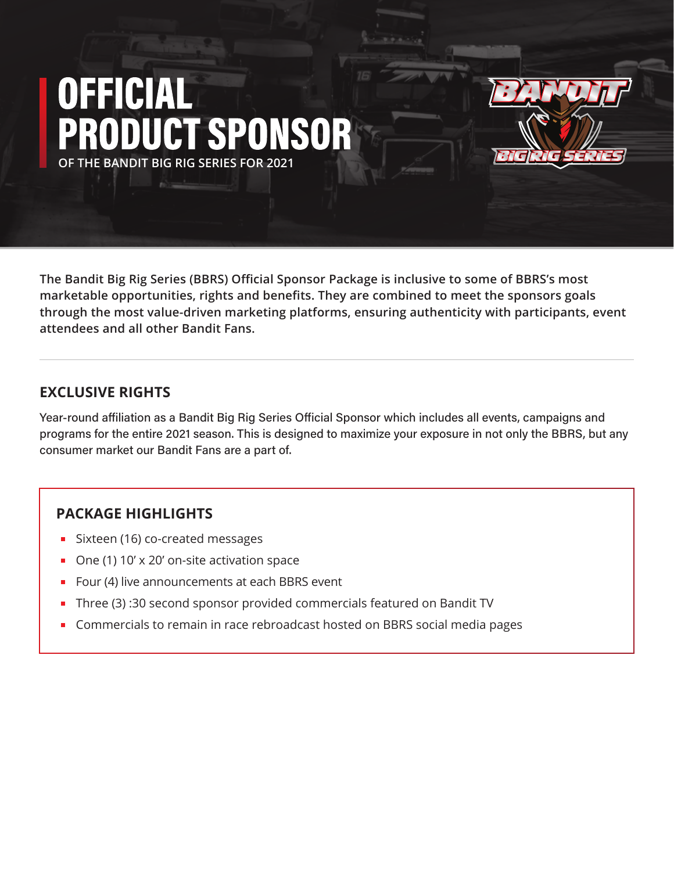# **OFFICIAL ODUCT SPONSOR OF THE BANDIT BIG RIG SERIES FOR 2021**



**The Bandit Big Rig Series (BBRS) Official Sponsor Package is inclusive to some of BBRS's most marketable opportunities, rights and benefits. They are combined to meet the sponsors goals through the most value-driven marketing platforms, ensuring authenticity with participants, event attendees and all other Bandit Fans.**

#### **EXCLUSIVE RIGHTS**

Year-round affiliation as a Bandit Big Rig Series Official Sponsor which includes all events, campaigns and programs for the entire 2021 season. This is designed to maximize your exposure in not only the BBRS, but any consumer market our Bandit Fans are a part of.

#### **PACKAGE HIGHLIGHTS**

- Sixteen (16) co-created messages
- One (1) 10' x 20' on-site activation space
- Four (4) live announcements at each BBRS event
- Three (3) :30 second sponsor provided commercials featured on Bandit TV
- **Commercials to remain in race rebroadcast hosted on BBRS social media pages**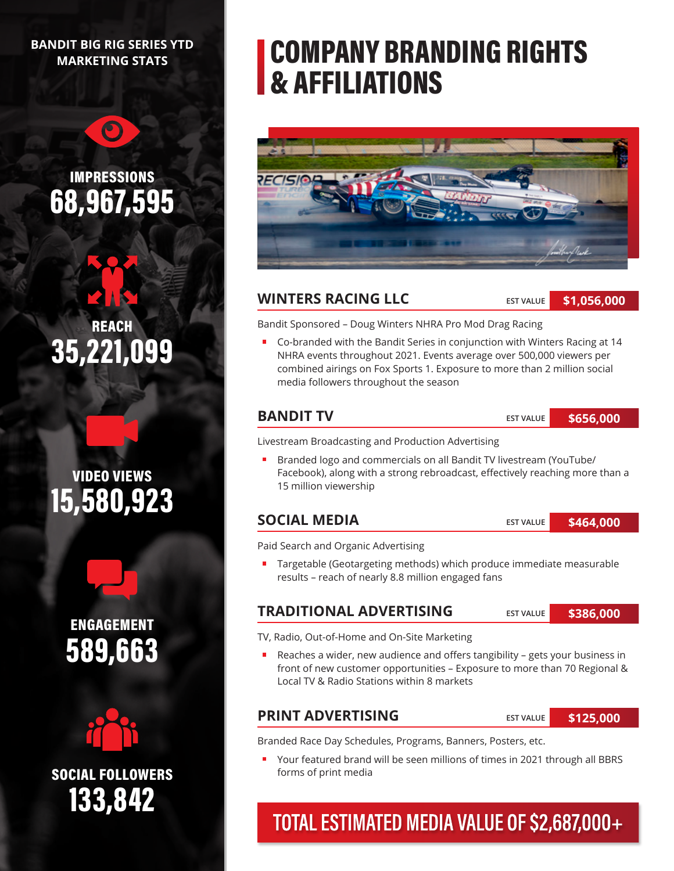#### **BANDIT BIG RIG SERIES YTD MARKETING STATS**

 $\bigcirc$ 

### IMPRESSIONS 68,967,595

REACH 35,221,099





ENGAGEMENT 589,663



133,842 SOCIAL FOLLOWERS

# COMPANY BRANDING RIGHTS & AFFILIATIONS



#### **WINTERS RACING LLC**

**EST VALUE**

**\$1,056,000**

Bandit Sponsored – Doug Winters NHRA Pro Mod Drag Racing

 Co-branded with the Bandit Series in conjunction with Winters Racing at 14 NHRA events throughout 2021. Events average over 500,000 viewers per combined airings on Fox Sports 1. Exposure to more than 2 million social media followers throughout the season

#### **BANDIT TV**

**EST VALUE \$656,000**

Livestream Broadcasting and Production Advertising

Branded logo and commercials on all Bandit TV livestream (YouTube/  $\blacksquare$ Facebook), along with a strong rebroadcast, effectively reaching more than a 15 million viewership

#### **SOCIAL MEDIA**

**EST VALUE \$464,000**

Paid Search and Organic Advertising

■ Targetable (Geotargeting methods) which produce immediate measurable results – reach of nearly 8.8 million engaged fans

#### **TRADITIONAL ADVERTISING**

**EST VALUE \$386,000**

TV, Radio, Out-of-Home and On-Site Marketing

 Reaches a wider, new audience and offers tangibility – gets your business in front of new customer opportunities – Exposure to more than 70 Regional & Local TV & Radio Stations within 8 markets

#### **PRINT ADVERTISING**

**EST VALUE**

**\$125,000**

Branded Race Day Schedules, Programs, Banners, Posters, etc.

Your featured brand will be seen millions of times in 2021 through all BBRS forms of print media

### TOTAL ESTIMATED MEDIA VALUE OF \$2,687,000+